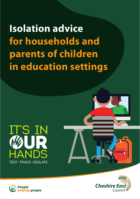**Isolation advice for households and parents of children in education settings** 







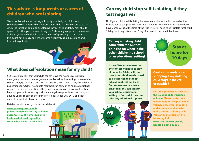### **This advice is for parents or carers of children who are isolating.**

The school or education setting will notify you that your child **must**  self-isolate for 10 days. This is because your child has been exposed to the virus. The infection could be developing in your child and they may able to spread it to other people, even if they don't show any symptoms themselves. Isolating your child will help reduce the risk of spreading. We are aware that this might not be easy, so here are some frequently asked questions and tips that might help.



#### **What does self-isolation mean for my child?**

Self-isolation means that your child cannot leave the house unless it is an emergency. Your child cannot go to a school or education setting, or to any after school clubs, go on play dates, take the dog for a walk, go to a playground or use public transport. Other household members can carry on as normal, so siblings can go to school or education setting and parents can go to work unless they have symptoms. Parents or guardians are legally responsible for ensuring that anyone under 18 self-isolates if they test positive for COVID-19 or if they are a close contact of a positive case.

Detailed self-isolation guidance is available at:

**www.gov.uk/government/ publications/covid-19-stay-at-homeguidance/stay-at-home-guidancefor-households-with-possiblecoronavirus-covid-19-infection** 

## **Can my child stop self-isolating, if they test negative?**

No, if your child is self-isolating because a member of the household or the bubble has tested positive, then a negative test simply means that they don't have Coronavirus at the time of the test. They still need to self-isolate for the full 10 days as it may take up to 10 days for them to become infectious.

**Can my isolating child come with me on foot or in the car when I take other children to school or an educational setting?** 

**No, self-isolation means that the contact will need to stay at home for 10 days. If you have other children who need to be escorted to school/ educational setting, try to find someone else who can take them. You can contact your school/educational setting to find out if they can offer any additional support.** 



**Can I visit friends or go shopping if my isolating child stays in the car or outside?** 

**No – the guidance is clear that the isolating child must stay at home. Please contact our People Helping People team if you need essential shopping and no-one is available to look after the isolating child. You can ask for help on the following link: www.cheshireeast.gov.uk/ people-helping-people** 

**2**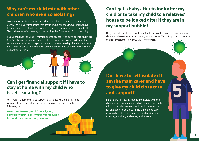## **Why can't my child mix with other children who are also isolating?**

Self-isolation is about protecting others and slowing down the spread of COVID-19. It is very important that anyone who has the virus, or might have been exposed to it, limits the number of people they come into contact with. This is the most effective way of preventing the Coronavirus from spreading.

If your child has the virus, it may take some time for it to develop into an illness, (the "incubation period" of the virus). Even if you know your child spent time with and was exposed to a particular child on a certain day, that child may not have been infectious on that particular day but may be by now, there is still a risk of transmission.

#### **Can I get financial support if I have to stay at home with my child who is self-isolating?**

Yes, there is a Test and Trace Support payment available for parents who meet the criteria. Further information can be found on the following link:

**www.cheshireeast.gov.uk/council\_and\_ democracy/council\_information/coronavirus/ test-and-trace-support-payment.aspx** 

# **Can I get a babysitter to look after my child or to take my child to a relatives' house to be looked after if they are in my support bubble?**

No, your child must not leave home for 10 days unless in an emergency. You should not have any visitors coming to your home. This is important to reduce the risk of transmission of COVID-19 to others.

**Do I have to self-isolate if I am the main carer and have to give my child close care and support?** 

Parents are not legally required to isolate with their children but if your child needs close care you might wish to consider alternatives. It could be sensible for one adult to isolate with the child and to take responsibility for their close care such as bathing, dressing, cuddling and eating with the child.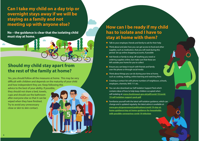**Can I take my child on a day trip or overnight stays away if we will be staying as a family and not meeting up with anyone else?** 

**No – the guidance is clear that the isolating child must stay at home.** 

#### **Should my child stay apart from the rest of the family at home?**

Yes, you should follow all the measures at home. This may be very difficult with children and depends on the maturity of your child and how independent they are. Keep following this advice to the best of your ability. If possible, they should not share a bed, towels, cups and should use the bathroom after everyone else so that it can be wiped when they have finished. Try to avoid any unnecessary close or skin to skin contact.

### **How can I be ready if my child has to isolate and I have to stay at home with them?**

- Talk to your employer, friends and family to ask for their help
- Think about and plan how you can get access to food and other supplies, such as medication, that you will need during this period. Set up online shopping accounts, if possible
- Ask friends or family to drop off anything you need or ordering supplies online, but make sure that these are left outside your home for you to collect
- Ensure you can keep in touch with friends and family over the phone or through social media
- Think about things you can do during your time at home, such as cooking, reading, online learning and watching films
- $\bullet$  Creating a contact list with phone numbers of neighbours, schools, employers, chemists, NHS 111 etc.
- You can also download our Self-Isolation Support Pack which contains ideas of how to help keep children occupied when self-isolating at: **www.cheshireeast.gov.uk/pdf/covid-19/covid-19-self-isolation-support-pack.pdf**
- Familiarise yourself with the latest self-isolation guidance, which can change and is updated regularly, the latest advice is available at: **www.gov.uk/government/publications/covid-19-stay-athome-guidance/stay-at-home-guidance-for-householdswith-possible-coronavirus-covid-19-infection**